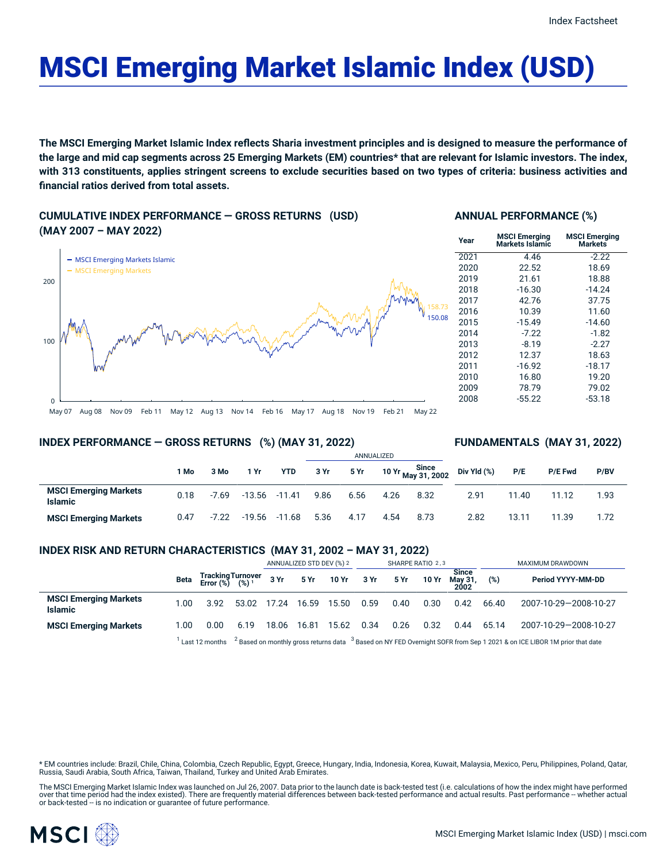# MSCI Emerging Market Islamic Index (USD)

The MSCI Emerging Market Islamic Index reflects Sharia investment principles and is designed to measure the performance of the large and mid cap segments across 25 Emerging Markets (EM) countries\* that are relevant for Islamic investors. The index, with 313 constituents, applies stringent screens to exclude securities based on two types of criteria: business activities and **financial ratios derived from total assets.**

**CUMULATIVE INDEX PERFORMANCE — GROSS RETURNS (USD) (MAY 2007 – MAY 2022)**



#### **ANNUAL PERFORMANCE (%)**

| Year | <b>MSCI Emerging</b><br>Markets Islamic | <b>MSCI Emerging</b><br><b>Markets</b> |  |  |  |  |  |
|------|-----------------------------------------|----------------------------------------|--|--|--|--|--|
| 2021 | 4.46                                    | $-2.22$                                |  |  |  |  |  |
| 2020 | 22.52                                   | 18.69                                  |  |  |  |  |  |
| 2019 | 21.61                                   | 18.88                                  |  |  |  |  |  |
| 2018 | $-16.30$                                | $-14.24$                               |  |  |  |  |  |
| 2017 | 42.76                                   | 37.75                                  |  |  |  |  |  |
| 2016 | 10.39                                   | 11.60                                  |  |  |  |  |  |
| 2015 | $-15.49$                                | $-14.60$                               |  |  |  |  |  |
| 2014 | $-7.22$                                 | $-1.82$                                |  |  |  |  |  |
| 2013 | $-8.19$                                 | $-2.27$                                |  |  |  |  |  |
| 2012 | 12.37                                   | 18.63                                  |  |  |  |  |  |
| 2011 | $-16.92$                                | $-18.17$                               |  |  |  |  |  |
| 2010 | 16.80                                   | 19.20                                  |  |  |  |  |  |
| 2009 | 78.79                                   | 79.02                                  |  |  |  |  |  |
| 2008 | $-55.22$                                | $-53.18$                               |  |  |  |  |  |

May 07 Aug 08 Nov 09 Feb 11 May 12 Aug 13 Nov 14 Feb 16 May 17 Aug 18 Nov 19 Feb 21 May 22

#### **INDEX PERFORMANCE — GROSS RETURNS (%) (MAY 31, 2022)**

#### **FUNDAMENTALS (MAY 31, 2022)**

|                                                |      |         |          |                  | ANNUALIZED |      |      |                             |             |       |         |      |
|------------------------------------------------|------|---------|----------|------------------|------------|------|------|-----------------------------|-------------|-------|---------|------|
|                                                | 1 Mo | 3 Mo    | 1 Yr     | <b>YTD</b>       | 3 Yr       | 5 Yr |      | 10 Yr Since<br>May 31, 2002 | Div Yld (%) | P/E   | P/E Fwd | P/BV |
| <b>MSCI Emerging Markets</b><br><b>Islamic</b> | 0.18 | $-7.69$ |          | $-13.56 - 11.41$ | 9.86       | 6.56 | 4.26 | 8.32                        | 2.91        | 11.40 | 11.12   | 1.93 |
| <b>MSCI Emerging Markets</b>                   | 0.47 | $-7.22$ | $-19.56$ | $-11.68$         | 5.36       | 4.17 | 4.54 | 8.73                        | 2.82        | 13.11 | 11.39   | 1.72 |

#### **INDEX RISK AND RETURN CHARACTERISTICS (MAY 31, 2002 – MAY 31, 2022)**

|                                                |      |                                                 |                                                                                                                              | ANNUALIZED STD DEV (%) 2 |       | SHARPE RATIO 2,3 |      |      |       | MAXIMUM DRAWDOWN                |       |                       |
|------------------------------------------------|------|-------------------------------------------------|------------------------------------------------------------------------------------------------------------------------------|--------------------------|-------|------------------|------|------|-------|---------------------------------|-------|-----------------------|
|                                                | Beta | Tracking Turnover<br>Error (%) (%) <sup>1</sup> |                                                                                                                              | 3 Yr                     |       | 5 Yr 10 Yr 3 Yr  |      | 5 Yr | 10 Yr | <b>Since</b><br>May 31,<br>2002 | (%)   | Period YYYY-MM-DD     |
| <b>MSCI Emerging Markets</b><br><b>Islamic</b> | .00  | 3.92                                            | 53.02                                                                                                                        | 17.24                    | 16.59 | 15.50            | 0.59 | 0.40 | 0.30  | 0.42                            | 66.40 | 2007-10-29-2008-10-27 |
| <b>MSCI Emerging Markets</b>                   | 1.00 | 0.00                                            | 6.19                                                                                                                         | 18.06                    | 16.81 | 15.62            | 0.34 | 0.26 | 0.32  | 0.44                            | 65.14 | 2007-10-29-2008-10-27 |
|                                                |      | $^{\mathrm{I}}$ Last 12 months                  | $2$ Based on monthly gross returns data $3$ Based on NY FED Overnight SOFR from Sep 1 2021 & on ICE LIBOR 1M prior that date |                          |       |                  |      |      |       |                                 |       |                       |

\* EM countries include: Brazil, Chile, China, Colombia, Czech Republic, Egypt, Greece, Hungary, India, Indonesia, Korea, Kuwait, Malaysia, Mexico, Peru, Philippines, Poland, Qatar,<br>Russia, Saudi Arabia, South Africa, Taiwa

The MSCI Emerging Market Islamic Index was launched on Jul 26, 2007. Data prior to the launch date is back-tested test (i.e. calculations of how the index might have performed over that time period had the index existed). There are frequently material differences between back-tested performance and actual results. Past performance – whether actual<br>or back-tested – is no indication or guarantee o

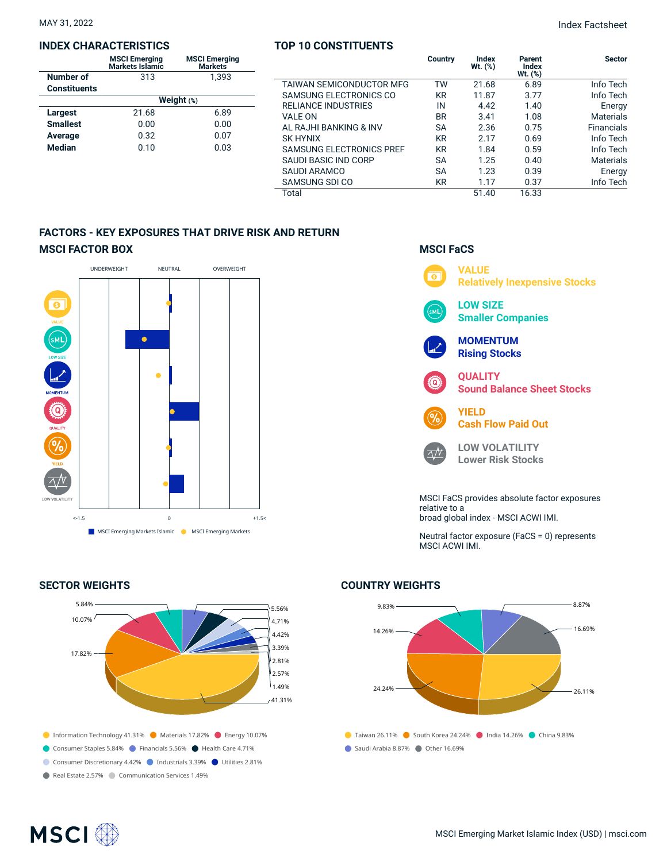#### **INDEX CHARACTERISTICS**

|                     | <b>MSCI Emerging</b><br>Markets Islamic | <b>MSCI Emerging</b><br><b>Markets</b> |  |  |  |  |  |
|---------------------|-----------------------------------------|----------------------------------------|--|--|--|--|--|
| Number of           | 313                                     | 1.393                                  |  |  |  |  |  |
| <b>Constituents</b> |                                         |                                        |  |  |  |  |  |
|                     | Weight $(*)$                            |                                        |  |  |  |  |  |
| <b>Largest</b>      | 21.68                                   | 6.89                                   |  |  |  |  |  |
| <b>Smallest</b>     | 0.00                                    | 0.00                                   |  |  |  |  |  |
| Average             | 0.32                                    | 0.07                                   |  |  |  |  |  |
| <b>Median</b>       | 0.10                                    | 0.03                                   |  |  |  |  |  |
|                     |                                         |                                        |  |  |  |  |  |

#### **TOP 10 CONSTITUENTS**

|                                 | Country   | Index<br>Wt. (%) | Parent<br>Index<br>$Wt.$ $(\%)$ | <b>Sector</b>     |
|---------------------------------|-----------|------------------|---------------------------------|-------------------|
| <b>TAIWAN SEMICONDUCTOR MFG</b> | TW        | 21.68            | 6.89                            | Info Tech         |
| SAMSUNG ELECTRONICS CO          | <b>KR</b> | 11.87            | 3.77                            | Info Tech         |
| <b>RELIANCE INDUSTRIES</b>      | IN        | 4.42             | 1.40                            | Energy            |
| <b>VALE ON</b>                  | <b>BR</b> | 3.41             | 1.08                            | <b>Materials</b>  |
| AL RAJHI BANKING & INV          | SА        | 2.36             | 0.75                            | <b>Financials</b> |
| SK HYNIX                        | <b>KR</b> | 2.17             | 0.69                            | Info Tech         |
| <b>SAMSUNG ELECTRONICS PREF</b> | <b>KR</b> | 1.84             | 0.59                            | Info Tech         |
| SAUDI BASIC IND CORP            | SА        | 1.25             | 0.40                            | <b>Materials</b>  |
| SAUDI ARAMCO                    | SА        | 1.23             | 0.39                            | Energy            |
| SAMSUNG SDI CO                  | <b>KR</b> | 1.17             | 0.37                            | Info Tech         |
| Total                           |           | 51.40            | 16.33                           |                   |

### **FACTORS - KEY EXPOSURES THAT DRIVE RISK AND RETURN MSCI FACTOR BOX**



#### **SECTOR WEIGHTS**



## **MSCI FaCS**



Neutral factor exposure (FaCS = 0) represents MSCI ACWI IMI.

# $\bullet$  Taiwan 26.11%  $\bullet$  South Korea 24.24%  $\bullet$  India 14.26%  $\bullet$  China 9.83% Saudi Arabia 8.87% Other 16.69% 9.83% 14.26% 24.24% 8.87% 16.69% 26.11%

#### **COUNTRY WEIGHTS**